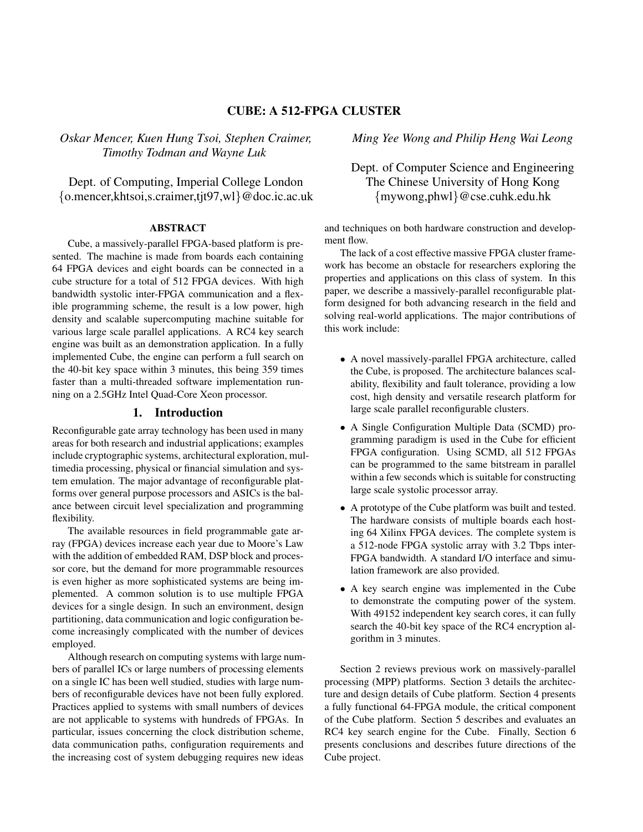## CUBE: A 512-FPGA CLUSTER

*Oskar Mencer, Kuen Hung Tsoi, Stephen Craimer, Timothy Todman and Wayne Luk*

Dept. of Computing, Imperial College London {o.mencer,khtsoi,s.craimer,tjt97,wl}@doc.ic.ac.uk

### ABSTRACT

Cube, a massively-parallel FPGA-based platform is presented. The machine is made from boards each containing 64 FPGA devices and eight boards can be connected in a cube structure for a total of 512 FPGA devices. With high bandwidth systolic inter-FPGA communication and a flexible programming scheme, the result is a low power, high density and scalable supercomputing machine suitable for various large scale parallel applications. A RC4 key search engine was built as an demonstration application. In a fully implemented Cube, the engine can perform a full search on the 40-bit key space within 3 minutes, this being 359 times faster than a multi-threaded software implementation running on a 2.5GHz Intel Quad-Core Xeon processor.

## 1. Introduction

Reconfigurable gate array technology has been used in many areas for both research and industrial applications; examples include cryptographic systems, architectural exploration, multimedia processing, physical or financial simulation and system emulation. The major advantage of reconfigurable platforms over general purpose processors and ASICs is the balance between circuit level specialization and programming flexibility.

The available resources in field programmable gate array (FPGA) devices increase each year due to Moore's Law with the addition of embedded RAM, DSP block and processor core, but the demand for more programmable resources is even higher as more sophisticated systems are being implemented. A common solution is to use multiple FPGA devices for a single design. In such an environment, design partitioning, data communication and logic configuration become increasingly complicated with the number of devices employed.

Although research on computing systems with large numbers of parallel ICs or large numbers of processing elements on a single IC has been well studied, studies with large numbers of reconfigurable devices have not been fully explored. Practices applied to systems with small numbers of devices are not applicable to systems with hundreds of FPGAs. In particular, issues concerning the clock distribution scheme, data communication paths, configuration requirements and the increasing cost of system debugging requires new ideas

*Ming Yee Wong and Philip Heng Wai Leong*

# Dept. of Computer Science and Engineering The Chinese University of Hong Kong {mywong,phwl}@cse.cuhk.edu.hk

and techniques on both hardware construction and development flow.

The lack of a cost effective massive FPGA cluster framework has become an obstacle for researchers exploring the properties and applications on this class of system. In this paper, we describe a massively-parallel reconfigurable platform designed for both advancing research in the field and solving real-world applications. The major contributions of this work include:

- A novel massively-parallel FPGA architecture, called the Cube, is proposed. The architecture balances scalability, flexibility and fault tolerance, providing a low cost, high density and versatile research platform for large scale parallel reconfigurable clusters.
- A Single Configuration Multiple Data (SCMD) programming paradigm is used in the Cube for efficient FPGA configuration. Using SCMD, all 512 FPGAs can be programmed to the same bitstream in parallel within a few seconds which is suitable for constructing large scale systolic processor array.
- A prototype of the Cube platform was built and tested. The hardware consists of multiple boards each hosting 64 Xilinx FPGA devices. The complete system is a 512-node FPGA systolic array with 3.2 Tbps inter-FPGA bandwidth. A standard I/O interface and simulation framework are also provided.
- A key search engine was implemented in the Cube to demonstrate the computing power of the system. With 49152 independent key search cores, it can fully search the 40-bit key space of the RC4 encryption algorithm in 3 minutes.

Section 2 reviews previous work on massively-parallel processing (MPP) platforms. Section 3 details the architecture and design details of Cube platform. Section 4 presents a fully functional 64-FPGA module, the critical component of the Cube platform. Section 5 describes and evaluates an RC4 key search engine for the Cube. Finally, Section 6 presents conclusions and describes future directions of the Cube project.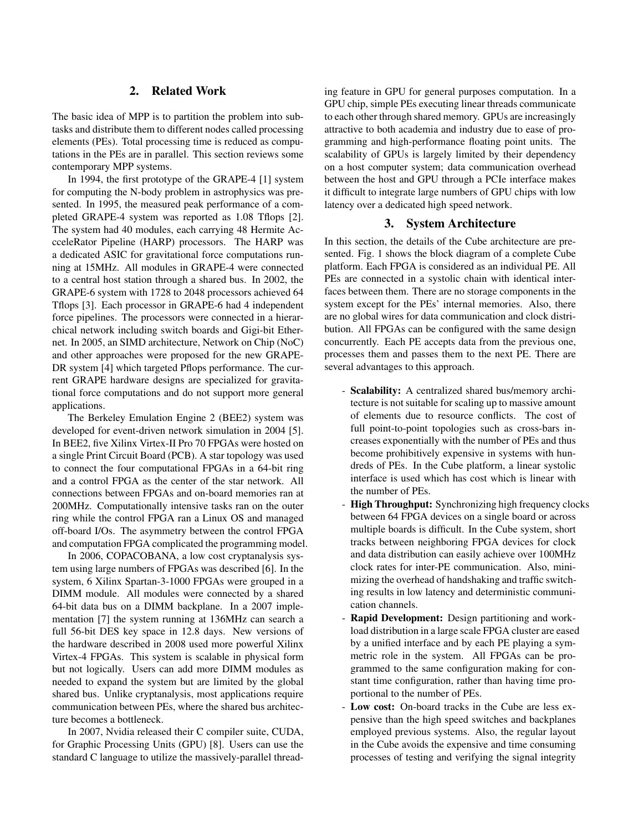## 2. Related Work

The basic idea of MPP is to partition the problem into subtasks and distribute them to different nodes called processing elements (PEs). Total processing time is reduced as computations in the PEs are in parallel. This section reviews some contemporary MPP systems.

In 1994, the first prototype of the GRAPE-4 [1] system for computing the N-body problem in astrophysics was presented. In 1995, the measured peak performance of a completed GRAPE-4 system was reported as 1.08 Tflops [2]. The system had 40 modules, each carrying 48 Hermite AccceleRator Pipeline (HARP) processors. The HARP was a dedicated ASIC for gravitational force computations running at 15MHz. All modules in GRAPE-4 were connected to a central host station through a shared bus. In 2002, the GRAPE-6 system with 1728 to 2048 processors achieved 64 Tflops [3]. Each processor in GRAPE-6 had 4 independent force pipelines. The processors were connected in a hierarchical network including switch boards and Gigi-bit Ethernet. In 2005, an SIMD architecture, Network on Chip (NoC) and other approaches were proposed for the new GRAPE-DR system [4] which targeted Pflops performance. The current GRAPE hardware designs are specialized for gravitational force computations and do not support more general applications.

The Berkeley Emulation Engine 2 (BEE2) system was developed for event-driven network simulation in 2004 [5]. In BEE2, five Xilinx Virtex-II Pro 70 FPGAs were hosted on a single Print Circuit Board (PCB). A star topology was used to connect the four computational FPGAs in a 64-bit ring and a control FPGA as the center of the star network. All connections between FPGAs and on-board memories ran at 200MHz. Computationally intensive tasks ran on the outer ring while the control FPGA ran a Linux OS and managed off-board I/Os. The asymmetry between the control FPGA and computation FPGA complicated the programming model.

In 2006, COPACOBANA, a low cost cryptanalysis system using large numbers of FPGAs was described [6]. In the system, 6 Xilinx Spartan-3-1000 FPGAs were grouped in a DIMM module. All modules were connected by a shared 64-bit data bus on a DIMM backplane. In a 2007 implementation [7] the system running at 136MHz can search a full 56-bit DES key space in 12.8 days. New versions of the hardware described in 2008 used more powerful Xilinx Virtex-4 FPGAs. This system is scalable in physical form but not logically. Users can add more DIMM modules as needed to expand the system but are limited by the global shared bus. Unlike cryptanalysis, most applications require communication between PEs, where the shared bus architecture becomes a bottleneck.

In 2007, Nvidia released their C compiler suite, CUDA, for Graphic Processing Units (GPU) [8]. Users can use the standard C language to utilize the massively-parallel threading feature in GPU for general purposes computation. In a GPU chip, simple PEs executing linear threads communicate to each other through shared memory. GPUs are increasingly attractive to both academia and industry due to ease of programming and high-performance floating point units. The scalability of GPUs is largely limited by their dependency on a host computer system; data communication overhead between the host and GPU through a PCIe interface makes it difficult to integrate large numbers of GPU chips with low latency over a dedicated high speed network.

## 3. System Architecture

In this section, the details of the Cube architecture are presented. Fig. 1 shows the block diagram of a complete Cube platform. Each FPGA is considered as an individual PE. All PEs are connected in a systolic chain with identical interfaces between them. There are no storage components in the system except for the PEs' internal memories. Also, there are no global wires for data communication and clock distribution. All FPGAs can be configured with the same design concurrently. Each PE accepts data from the previous one, processes them and passes them to the next PE. There are several advantages to this approach.

- Scalability: A centralized shared bus/memory architecture is not suitable for scaling up to massive amount of elements due to resource conflicts. The cost of full point-to-point topologies such as cross-bars increases exponentially with the number of PEs and thus become prohibitively expensive in systems with hundreds of PEs. In the Cube platform, a linear systolic interface is used which has cost which is linear with the number of PEs.
- **High Throughput:** Synchronizing high frequency clocks between 64 FPGA devices on a single board or across multiple boards is difficult. In the Cube system, short tracks between neighboring FPGA devices for clock and data distribution can easily achieve over 100MHz clock rates for inter-PE communication. Also, minimizing the overhead of handshaking and traffic switching results in low latency and deterministic communication channels.
- Rapid Development: Design partitioning and workload distribution in a large scale FPGA cluster are eased by a unified interface and by each PE playing a symmetric role in the system. All FPGAs can be programmed to the same configuration making for constant time configuration, rather than having time proportional to the number of PEs.
- Low cost: On-board tracks in the Cube are less expensive than the high speed switches and backplanes employed previous systems. Also, the regular layout in the Cube avoids the expensive and time consuming processes of testing and verifying the signal integrity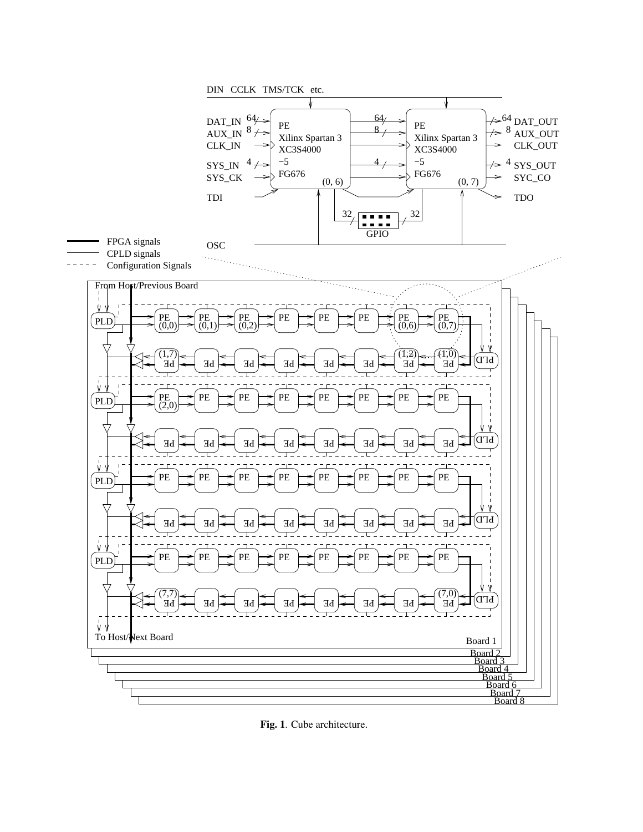

Fig. 1. Cube architecture.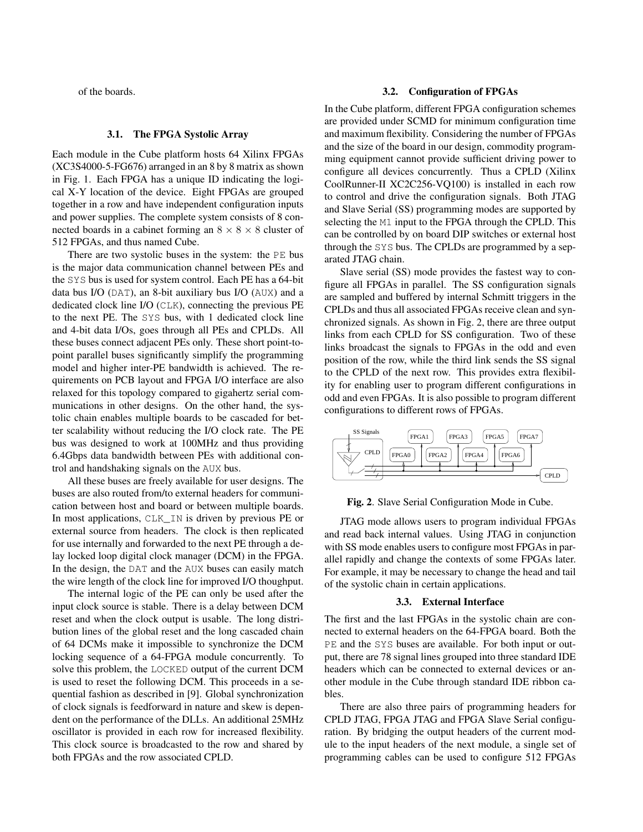of the boards.

#### 3.1. The FPGA Systolic Array

Each module in the Cube platform hosts 64 Xilinx FPGAs (XC3S4000-5-FG676) arranged in an 8 by 8 matrix as shown in Fig. 1. Each FPGA has a unique ID indicating the logical X-Y location of the device. Eight FPGAs are grouped together in a row and have independent configuration inputs and power supplies. The complete system consists of 8 connected boards in a cabinet forming an  $8 \times 8 \times 8$  cluster of 512 FPGAs, and thus named Cube.

There are two systolic buses in the system: the PE bus is the major data communication channel between PEs and the SYS bus is used for system control. Each PE has a 64-bit data bus I/O (DAT), an 8-bit auxiliary bus I/O (AUX) and a dedicated clock line I/O (CLK), connecting the previous PE to the next PE. The SYS bus, with 1 dedicated clock line and 4-bit data I/Os, goes through all PEs and CPLDs. All these buses connect adjacent PEs only. These short point-topoint parallel buses significantly simplify the programming model and higher inter-PE bandwidth is achieved. The requirements on PCB layout and FPGA I/O interface are also relaxed for this topology compared to gigahertz serial communications in other designs. On the other hand, the systolic chain enables multiple boards to be cascaded for better scalability without reducing the I/O clock rate. The PE bus was designed to work at 100MHz and thus providing 6.4Gbps data bandwidth between PEs with additional control and handshaking signals on the AUX bus.

All these buses are freely available for user designs. The buses are also routed from/to external headers for communication between host and board or between multiple boards. In most applications, CLK\_IN is driven by previous PE or external source from headers. The clock is then replicated for use internally and forwarded to the next PE through a delay locked loop digital clock manager (DCM) in the FPGA. In the design, the DAT and the AUX buses can easily match the wire length of the clock line for improved I/O thoughput.

The internal logic of the PE can only be used after the input clock source is stable. There is a delay between DCM reset and when the clock output is usable. The long distribution lines of the global reset and the long cascaded chain of 64 DCMs make it impossible to synchronize the DCM locking sequence of a 64-FPGA module concurrently. To solve this problem, the LOCKED output of the current DCM is used to reset the following DCM. This proceeds in a sequential fashion as described in [9]. Global synchronization of clock signals is feedforward in nature and skew is dependent on the performance of the DLLs. An additional 25MHz oscillator is provided in each row for increased flexibility. This clock source is broadcasted to the row and shared by both FPGAs and the row associated CPLD.

### 3.2. Configuration of FPGAs

In the Cube platform, different FPGA configuration schemes are provided under SCMD for minimum configuration time and maximum flexibility. Considering the number of FPGAs and the size of the board in our design, commodity programming equipment cannot provide sufficient driving power to configure all devices concurrently. Thus a CPLD (Xilinx CoolRunner-II XC2C256-VQ100) is installed in each row to control and drive the configuration signals. Both JTAG and Slave Serial (SS) programming modes are supported by selecting the M1 input to the FPGA through the CPLD. This can be controlled by on board DIP switches or external host through the SYS bus. The CPLDs are programmed by a separated JTAG chain.

Slave serial (SS) mode provides the fastest way to configure all FPGAs in parallel. The SS configuration signals are sampled and buffered by internal Schmitt triggers in the CPLDs and thus all associated FPGAs receive clean and synchronized signals. As shown in Fig. 2, there are three output links from each CPLD for SS configuration. Two of these links broadcast the signals to FPGAs in the odd and even position of the row, while the third link sends the SS signal to the CPLD of the next row. This provides extra flexibility for enabling user to program different configurations in odd and even FPGAs. It is also possible to program different configurations to different rows of FPGAs.



Fig. 2. Slave Serial Configuration Mode in Cube.

JTAG mode allows users to program individual FPGAs and read back internal values. Using JTAG in conjunction with SS mode enables users to configure most FPGAs in parallel rapidly and change the contexts of some FPGAs later. For example, it may be necessary to change the head and tail of the systolic chain in certain applications.

#### 3.3. External Interface

The first and the last FPGAs in the systolic chain are connected to external headers on the 64-FPGA board. Both the PE and the SYS buses are available. For both input or output, there are 78 signal lines grouped into three standard IDE headers which can be connected to external devices or another module in the Cube through standard IDE ribbon cables.

There are also three pairs of programming headers for CPLD JTAG, FPGA JTAG and FPGA Slave Serial configuration. By bridging the output headers of the current module to the input headers of the next module, a single set of programming cables can be used to configure 512 FPGAs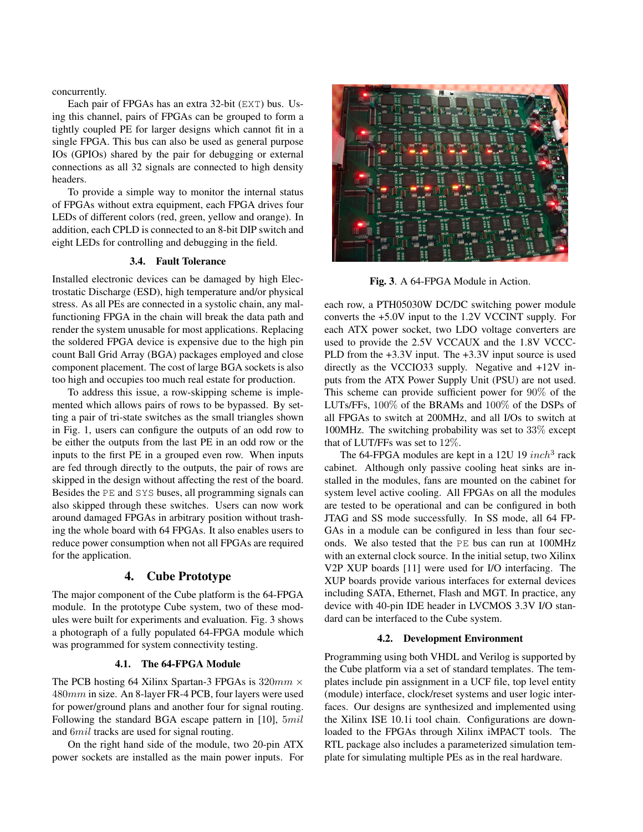concurrently.

Each pair of FPGAs has an extra 32-bit (EXT) bus. Using this channel, pairs of FPGAs can be grouped to form a tightly coupled PE for larger designs which cannot fit in a single FPGA. This bus can also be used as general purpose IOs (GPIOs) shared by the pair for debugging or external connections as all 32 signals are connected to high density headers.

To provide a simple way to monitor the internal status of FPGAs without extra equipment, each FPGA drives four LEDs of different colors (red, green, yellow and orange). In addition, each CPLD is connected to an 8-bit DIP switch and eight LEDs for controlling and debugging in the field.

### 3.4. Fault Tolerance

Installed electronic devices can be damaged by high Electrostatic Discharge (ESD), high temperature and/or physical stress. As all PEs are connected in a systolic chain, any malfunctioning FPGA in the chain will break the data path and render the system unusable for most applications. Replacing the soldered FPGA device is expensive due to the high pin count Ball Grid Array (BGA) packages employed and close component placement. The cost of large BGA sockets is also too high and occupies too much real estate for production.

To address this issue, a row-skipping scheme is implemented which allows pairs of rows to be bypassed. By setting a pair of tri-state switches as the small triangles shown in Fig. 1, users can configure the outputs of an odd row to be either the outputs from the last PE in an odd row or the inputs to the first PE in a grouped even row. When inputs are fed through directly to the outputs, the pair of rows are skipped in the design without affecting the rest of the board. Besides the PE and SYS buses, all programming signals can also skipped through these switches. Users can now work around damaged FPGAs in arbitrary position without trashing the whole board with 64 FPGAs. It also enables users to reduce power consumption when not all FPGAs are required for the application.

#### 4. Cube Prototype

The major component of the Cube platform is the 64-FPGA module. In the prototype Cube system, two of these modules were built for experiments and evaluation. Fig. 3 shows a photograph of a fully populated 64-FPGA module which was programmed for system connectivity testing.

### 4.1. The 64-FPGA Module

The PCB hosting 64 Xilinx Spartan-3 FPGAs is  $320mm \times$ 480mm in size. An 8-layer FR-4 PCB, four layers were used for power/ground plans and another four for signal routing. Following the standard BGA escape pattern in [10],  $5mil$ and 6mil tracks are used for signal routing.

On the right hand side of the module, two 20-pin ATX power sockets are installed as the main power inputs. For



Fig. 3. A 64-FPGA Module in Action.

each row, a PTH05030W DC/DC switching power module converts the +5.0V input to the 1.2V VCCINT supply. For each ATX power socket, two LDO voltage converters are used to provide the 2.5V VCCAUX and the 1.8V VCCC-PLD from the +3.3V input. The +3.3V input source is used directly as the VCCIO33 supply. Negative and +12V inputs from the ATX Power Supply Unit (PSU) are not used. This scheme can provide sufficient power for 90% of the LUTs/FFs, 100% of the BRAMs and 100% of the DSPs of all FPGAs to switch at 200MHz, and all I/Os to switch at 100MHz. The switching probability was set to 33% except that of LUT/FFs was set to 12%.

The 64-FPGA modules are kept in a 12U 19  $inch<sup>3</sup>$  rack cabinet. Although only passive cooling heat sinks are installed in the modules, fans are mounted on the cabinet for system level active cooling. All FPGAs on all the modules are tested to be operational and can be configured in both JTAG and SS mode successfully. In SS mode, all 64 FP-GAs in a module can be configured in less than four seconds. We also tested that the PE bus can run at 100MHz with an external clock source. In the initial setup, two Xilinx V2P XUP boards [11] were used for I/O interfacing. The XUP boards provide various interfaces for external devices including SATA, Ethernet, Flash and MGT. In practice, any device with 40-pin IDE header in LVCMOS 3.3V I/O standard can be interfaced to the Cube system.

### 4.2. Development Environment

Programming using both VHDL and Verilog is supported by the Cube platform via a set of standard templates. The templates include pin assignment in a UCF file, top level entity (module) interface, clock/reset systems and user logic interfaces. Our designs are synthesized and implemented using the Xilinx ISE 10.1i tool chain. Configurations are downloaded to the FPGAs through Xilinx iMPACT tools. The RTL package also includes a parameterized simulation template for simulating multiple PEs as in the real hardware.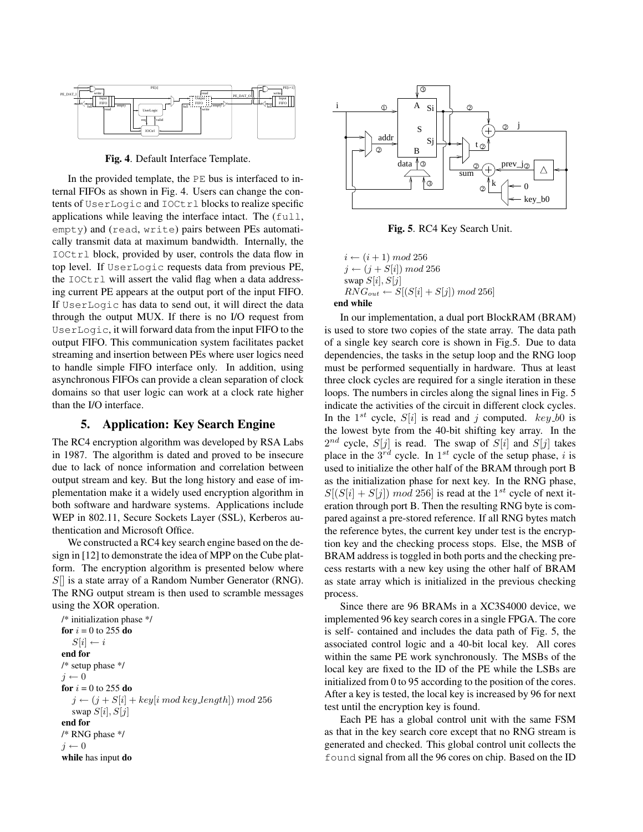

Fig. 4. Default Interface Template.

In the provided template, the PE bus is interfaced to internal FIFOs as shown in Fig. 4. Users can change the contents of UserLogic and IOCtrl blocks to realize specific applications while leaving the interface intact. The (full, empty) and (read, write) pairs between PEs automatically transmit data at maximum bandwidth. Internally, the IOCtrl block, provided by user, controls the data flow in top level. If UserLogic requests data from previous PE, the IOCtrl will assert the valid flag when a data addressing current PE appears at the output port of the input FIFO. If UserLogic has data to send out, it will direct the data through the output MUX. If there is no I/O request from UserLogic, it will forward data from the input FIFO to the output FIFO. This communication system facilitates packet streaming and insertion between PEs where user logics need to handle simple FIFO interface only. In addition, using asynchronous FIFOs can provide a clean separation of clock domains so that user logic can work at a clock rate higher than the I/O interface.

## 5. Application: Key Search Engine

The RC4 encryption algorithm was developed by RSA Labs in 1987. The algorithm is dated and proved to be insecure due to lack of nonce information and correlation between output stream and key. But the long history and ease of implementation make it a widely used encryption algorithm in both software and hardware systems. Applications include WEP in 802.11, Secure Sockets Layer (SSL), Kerberos authentication and Microsoft Office.

We constructed a RC4 key search engine based on the design in [12] to demonstrate the idea of MPP on the Cube platform. The encryption algorithm is presented below where  $S$ [] is a state array of a Random Number Generator (RNG). The RNG output stream is then used to scramble messages using the XOR operation.

/\* initialization phase \*/ for  $i = 0$  to 255 do  $S[i] \leftarrow i$ end for /\* setup phase \*/  $j \leftarrow 0$ for  $i = 0$  to 255 do  $j \leftarrow (j + S[i] + key[i \mod key\_length]) \mod 256$ swap  $S[i], S[j]$ end for /\* RNG phase \*/  $j \leftarrow 0$ while has input do



Fig. 5. RC4 Key Search Unit.

 $i \leftarrow (i+1) \mod 256$  $j \leftarrow (j + S[i]) \mod 256$ swap  $S[i], S[j]$  $RNG_{out} \leftarrow S[(S[i] + S[j]) \mod 256]$ end while

In our implementation, a dual port BlockRAM (BRAM) is used to store two copies of the state array. The data path of a single key search core is shown in Fig.5. Due to data dependencies, the tasks in the setup loop and the RNG loop must be performed sequentially in hardware. Thus at least three clock cycles are required for a single iteration in these loops. The numbers in circles along the signal lines in Fig. 5 indicate the activities of the circuit in different clock cycles. In the  $1^{st}$  cycle,  $S[i]$  is read and j computed.  $key_b0$  is the lowest byte from the 40-bit shifting key array. In the  $2^{nd}$  cycle,  $S[j]$  is read. The swap of  $S[i]$  and  $S[j]$  takes place in the  $3^{rd}$  cycle. In  $1^{st}$  cycle of the setup phase, i is used to initialize the other half of the BRAM through port B as the initialization phase for next key. In the RNG phase,  $S[(S[i] + S[j]) \mod 256]$  is read at the 1<sup>st</sup> cycle of next iteration through port B. Then the resulting RNG byte is compared against a pre-stored reference. If all RNG bytes match the reference bytes, the current key under test is the encryption key and the checking process stops. Else, the MSB of BRAM address is toggled in both ports and the checking precess restarts with a new key using the other half of BRAM as state array which is initialized in the previous checking process.

Since there are 96 BRAMs in a XC3S4000 device, we implemented 96 key search cores in a single FPGA. The core is self- contained and includes the data path of Fig. 5, the associated control logic and a 40-bit local key. All cores within the same PE work synchronously. The MSBs of the local key are fixed to the ID of the PE while the LSBs are initialized from 0 to 95 according to the position of the cores. After a key is tested, the local key is increased by 96 for next test until the encryption key is found.

Each PE has a global control unit with the same FSM as that in the key search core except that no RNG stream is generated and checked. This global control unit collects the found signal from all the 96 cores on chip. Based on the ID